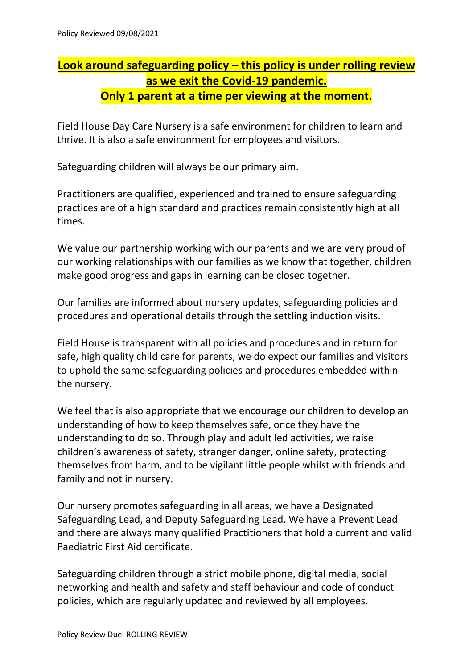## **Look around safeguarding policy – this policy is under rolling review as we exit the Covid-19 pandemic. Only 1 parent at a time per viewing at the moment.**

Field House Day Care Nursery is a safe environment for children to learn and thrive. It is also a safe environment for employees and visitors.

Safeguarding children will always be our primary aim.

Practitioners are qualified, experienced and trained to ensure safeguarding practices are of a high standard and practices remain consistently high at all times.

We value our partnership working with our parents and we are very proud of our working relationships with our families as we know that together, children make good progress and gaps in learning can be closed together.

Our families are informed about nursery updates, safeguarding policies and procedures and operational details through the settling induction visits.

Field House is transparent with all policies and procedures and in return for safe, high quality child care for parents, we do expect our families and visitors to uphold the same safeguarding policies and procedures embedded within the nursery.

We feel that is also appropriate that we encourage our children to develop an understanding of how to keep themselves safe, once they have the understanding to do so. Through play and adult led activities, we raise children's awareness of safety, stranger danger, online safety, protecting themselves from harm, and to be vigilant little people whilst with friends and family and not in nursery.

Our nursery promotes safeguarding in all areas, we have a Designated Safeguarding Lead, and Deputy Safeguarding Lead. We have a Prevent Lead and there are always many qualified Practitioners that hold a current and valid Paediatric First Aid certificate.

Safeguarding children through a strict mobile phone, digital media, social networking and health and safety and staff behaviour and code of conduct policies, which are regularly updated and reviewed by all employees.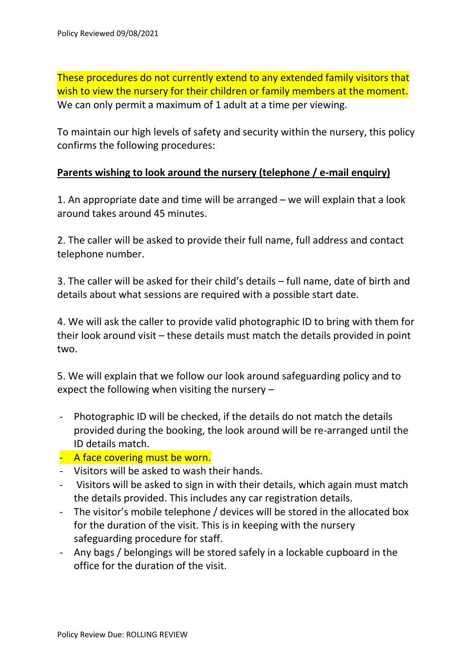These procedures do not currently extend to any extended family visitors that wish to view the nursery for their children or family members at the moment. We can only permit a maximum of 1 adult at a time per viewing.

To maintain our high levels of safety and security within the nursery, this policy confirms the following procedures:

## **Parents wishing to look around the nursery (telephone / e-mail enquiry)**

1. An appropriate date and time will be arranged – we will explain that a look around takes around 45 minutes.

2. The caller will be asked to provide their full name, full address and contact telephone number.

3. The caller will be asked for their child's details – full name, date of birth and details about what sessions are required with a possible start date.

4. We will ask the caller to provide valid photographic ID to bring with them for their look around visit – these details must match the details provided in point two.

5. We will explain that we follow our look around safeguarding policy and to expect the following when visiting the nursery –

- Photographic ID will be checked, if the details do not match the details provided during the booking, the look around will be re-arranged until the ID details match.
- A face covering must be worn.
- Visitors will be asked to wash their hands.
- Visitors will be asked to sign in with their details, which again must match the details provided. This includes any car registration details.
- The visitor's mobile telephone / devices will be stored in the allocated box for the duration of the visit. This is in keeping with the nursery safeguarding procedure for staff.
- Any bags / belongings will be stored safely in a lockable cupboard in the office for the duration of the visit.